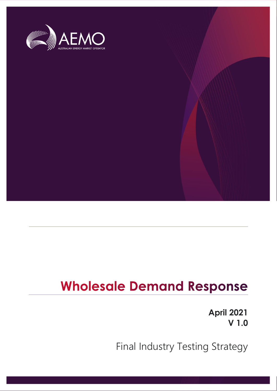

# **Wholesale Demand Response**

**April 2021 V 1.0**

Final Industry Testing Strategy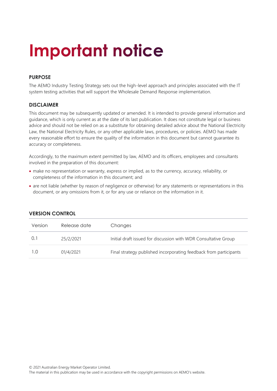# **Important notice**

#### **PURPOSE**

The AEMO Industry Testing Strategy sets out the high-level approach and principles associated with the IT system testing activities that will support the Wholesale Demand Response implementation.

#### **DISCLAIMER**

This document may be subsequently updated or amended. It is intended to provide general information and guidance, which is only current as at the date of its last publication. It does not constitute legal or business advice and should not be relied on as a substitute for obtaining detailed advice about the National Electricity Law, the National Electricity Rules, or any other applicable laws, procedures, or policies. AEMO has made every reasonable effort to ensure the quality of the information in this document but cannot guarantee its accuracy or completeness.

Accordingly, to the maximum extent permitted by law, AEMO and its officers, employees and consultants involved in the preparation of this document:

- make no representation or warranty, express or implied, as to the currency, accuracy, reliability, or completeness of the information in this document; and
- are not liable (whether by reason of negligence or otherwise) for any statements or representations in this document, or any omissions from it, or for any use or reliance on the information in it.

| Version | Release date | Changes                                                           |
|---------|--------------|-------------------------------------------------------------------|
| 0.1     | 25/2/2021    | Initial draft issued for discussion with WDR Consultative Group   |
| 1.0     | 01/4/2021    | Final strategy published incorporating feedback from participants |

#### **VERSION CONTROL**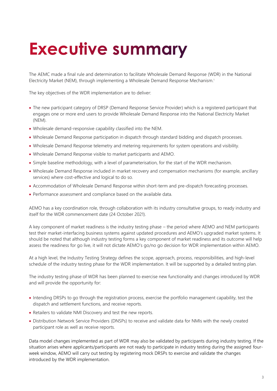# <span id="page-2-0"></span>**Executive summary**

The AEMC made a final rule and determination to facilitate Wholesale Demand Response (WDR) in the National Electricity Market (NEM), through implementing a Wholesale Demand Response Mechanism.<sup>1</sup>

The key objectives of the WDR implementation are to deliver:

- The new participant category of DRSP (Demand Response Service Provider) which is a registered participant that engages one or more end users to provide Wholesale Demand Response into the National Electricity Market (NEM).
- Wholesale demand-responsive capability classified into the NEM.
- Wholesale Demand Response participation in dispatch through standard bidding and dispatch processes.
- Wholesale Demand Response telemetry and metering requirements for system operations and visibility.
- Wholesale Demand Response visible to market participants and AEMO.
- Simple baseline methodology, with a level of parameterisation, for the start of the WDR mechanism.
- Wholesale Demand Response included in market recovery and compensation mechanisms (for example, ancillary services) where cost-effective and logical to do so.
- Accommodation of Wholesale Demand Response within short-term and pre-dispatch forecasting processes.
- Performance assessment and compliance based on the available data.

AEMO has a key coordination role, through collaboration with its industry consultative groups, to ready industry and itself for the WDR commencement date (24 October 2021).

A key component of market readiness is the industry testing phase – the period where AEMO and NEM participants test their market-interfacing business systems against updated procedures and AEMO's upgraded market systems. It should be noted that although industry testing forms a key component of market readiness and its outcome will help assess the readiness for go live, it will not dictate AEMO's go/no go decision for WDR implementation within AEMO.

At a high level, the Industry Testing Strategy defines the scope, approach, process, responsibilities, and high-level schedule of the industry testing phase for the WDR implementation. It will be supported by a detailed testing plan.

The industry testing phase of WDR has been planned to exercise new functionality and changes introduced by WDR and will provide the opportunity for:

- Intending DRSPs to go through the registration process, exercise the portfolio management capability, test the dispatch and settlement functions, and receive reports.
- Retailers to validate NMI Discovery and test the new reports.
- Distribution Network Service Providers (DNSPs) to receive and validate data for NMIs with the newly created participant role as well as receive reports.

Data model changes implemented as part of WDR may also be validated by participants during industry testing. If the situation arises where applicants/participants are not ready to participate in industry testing during the assigned fourweek window, AEMO will carry out testing by registering mock DRSPs to exercise and validate the changes introduced by the WDR implementation.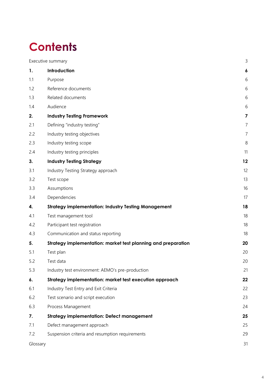## **Contents**

|          | Executive summary                                             | 3              |
|----------|---------------------------------------------------------------|----------------|
| 1.       | Introduction                                                  | 6              |
| 1.1      | Purpose                                                       | 6              |
| 1.2      | Reference documents                                           | 6              |
| 1.3      | Related documents                                             | 6              |
| 1.4      | Audience                                                      | 6              |
| 2.       | <b>Industry Testing Framework</b>                             | 7              |
| 2.1      | Defining "industry testing"                                   | $\overline{7}$ |
| 2.2      | Industry testing objectives                                   | $\overline{7}$ |
| 2.3      | Industry testing scope                                        | 8              |
| 2.4      | Industry testing principles                                   | 11             |
| 3.       | <b>Industry Testing Strategy</b>                              | 12             |
| 3.1      | Industry Testing Strategy approach                            | 12             |
| 3.2      | Test scope                                                    | 13             |
| 3.3      | Assumptions                                                   | 16             |
| 3.4      | Dependencies                                                  | 17             |
| 4.       | <b>Strategy implementation: Industry Testing Management</b>   | 18             |
| 4.1      | Test management tool                                          | 18             |
| 4.2      | Participant test registration                                 | 18             |
| 4.3      | Communication and status reporting                            | 18             |
| 5.       | Strategy implementation: market test planning and preparation | 20             |
| 5.1      | Test plan                                                     | 20             |
| 5.2      | Test data                                                     | 20             |
| 5.3      | Industry test environment: AEMO's pre-production              | 21             |
| 6.       | Strategy implementation: market test execution approach       | 22             |
| 6.1      | Industry Test Entry and Exit Criteria                         | 22             |
| 6.2      | Test scenario and script execution                            | 23             |
| 6.3      | Process Management                                            | 24             |
| 7.       | <b>Strategy implementation: Defect management</b>             | 25             |
| 7.1      | Defect management approach                                    | 25             |
| 7.2      | Suspension criteria and resumption requirements               | 29             |
| Glossary |                                                               | 31             |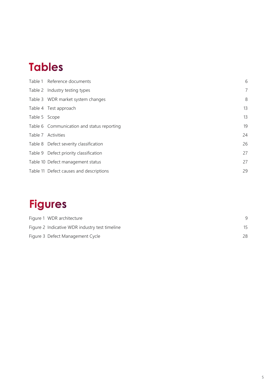## **Tables**

|               | Table 1 Reference documents                | 6              |
|---------------|--------------------------------------------|----------------|
|               | Table 2 Industry testing types             | $\overline{7}$ |
|               | Table 3 WDR market system changes          | 8              |
|               | Table 4 Test approach                      | 13             |
| Table 5 Scope |                                            | 13             |
|               | Table 6 Communication and status reporting | 19             |
|               | Table 7 Activities                         | 24             |
|               | Table 8 Defect severity classification     | 26             |
|               | Table 9 Defect priority classification     | 27             |
|               | Table 10 Defect management status          | 27             |
|               | Table 11 Defect causes and descriptions    | 29             |

## **Figures**

| Figure 1 WDR architecture                      |    |
|------------------------------------------------|----|
| Figure 2 Indicative WDR industry test timeline |    |
| Figure 3 Defect Management Cycle               | 28 |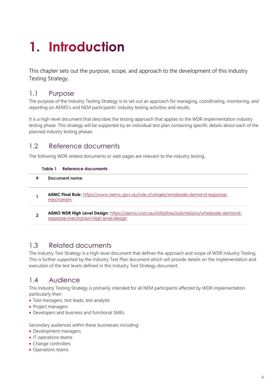# <span id="page-5-0"></span>1. Introduction

This chapter sets out the purpose, scope, and approach to the development of this Industry Testing Strategy.

## <span id="page-5-1"></span>1.1 Purpose

The purpose of the Industry Testing Strategy is to set out an approach for managing, coordinating, monitoring, and reporting on AEMO's and NEM participants' industry testing activities and results.

It is a high-level document that describes the testing approach that applies to the WDR implementation industry testing phase. This strategy will be supported by an individual test plan containing specific details about each of the planned industry testing phases.

## <span id="page-5-2"></span>1.2 Reference documents

<span id="page-5-5"></span>The following WDR related documents or web pages are relevant to the industry testing.

#### **Table 1 Reference documents**

| # | Document name                                                                                                                     |
|---|-----------------------------------------------------------------------------------------------------------------------------------|
|   | AEMC Final Rule: https://www.aemc.gov.au/rule-changes/wholesale-demand-response-<br>mechanism                                     |
|   | AEMO WDR High Level Design: https://aemo.com.au/initiatives/submissions/wholesale-demand-<br>response-mechanism-high-level-design |

## <span id="page-5-3"></span>1.3 Related documents

The Industry Test Strategy is a high-level document that defines the approach and scope of WDR Industry Testing. This is further supported by the Industry Test Plan document which will provide details on the implementation and execution of the test levels defined in this Industry Test Strategy document.

## <span id="page-5-4"></span>1.4 Audience

This Industry Testing Strategy is primarily intended for all NEM participants affected by WDR implementation particularly their:

- Test managers, test leads, test analysts
- Project managers
- Developers and business and functional SMEs.

Secondary audiences within these businesses including:

- Development managers
- IT operations teams
- Change controllers
- Operations teams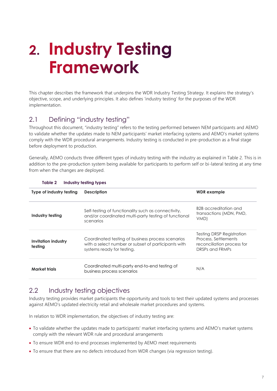# <span id="page-6-0"></span>2. Industry Testing **Framework**

This chapter describes the framework that underpins the WDR Industry Testing Strategy. It explains the strategy's objective, scope, and underlying principles. It also defines 'industry testing' for the purposes of the WDR implementation.

## <span id="page-6-1"></span>2.1 Defining "industry testing"

Throughout this document, "industry testing" refers to the testing performed between NEM participants and AEMO to validate whether the updates made to NEM participants' market interfacing systems and AEMO's market systems comply with the WDR procedural arrangements. Industry testing is conducted in pre-production as a final stage before deployment to production.

Generally, AEMO conducts three different types of industry testing with the industry as explained in Table 2. This is in addition to the pre-production system being available for participants to perform self or bi-lateral testing at any time from when the changes are deployed.

| Type of industry testing       | <b>Description</b>                                                                                                                     | <b>WDR</b> example                                                                                 |
|--------------------------------|----------------------------------------------------------------------------------------------------------------------------------------|----------------------------------------------------------------------------------------------------|
| Industry testing               | Self-testing of functionality such as connectivity,<br>and/or coordinated multi-party testing of functional<br>scenarios               | B2B accreditation and<br>transactions (MDN, PMD,<br>VMD)                                           |
| Invitation industry<br>testing | Coordinated testing of business process scenarios<br>with a select number or subset of participants with<br>systems ready for testing. | Testing DRSP Registration<br>Process, Settlements<br>reconciliation process for<br>DRSPs and FRMPs |
| <b>Market trials</b>           | Coordinated multi-party end-to-end testing of<br>business process scenarios                                                            | N/A                                                                                                |

#### <span id="page-6-3"></span>**Table 2 Industry testing types**

## <span id="page-6-2"></span>2.2 Industry testing objectives

Industry testing provides market participants the opportunity and tools to test their updated systems and processes against AEMO's updated electricity retail and wholesale market procedures and systems.

In relation to WDR implementation, the objectives of industry testing are:

- To validate whether the updates made to participants' market interfacing systems and AEMO's market systems comply with the relevant WDR rule and procedural arrangements
- To ensure WDR end-to-end processes implemented by AEMO meet requirements
- To ensure that there are no defects introduced from WDR changes (via regression testing).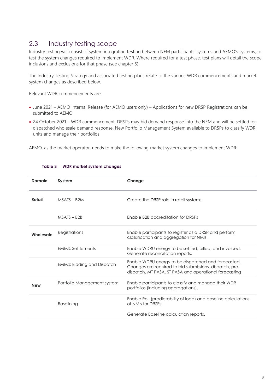## <span id="page-7-0"></span>2.3 Industry testing scope

Industry testing will consist of system integration testing between NEM participants' systems and AEMO's systems, to test the system changes required to implement WDR. Where required for a test phase, test plans will detail the scope inclusions and exclusions for that phase (see chapter 5).

The Industry Testing Strategy and associated testing plans relate to the various WDR commencements and market system changes as described below.

Relevant WDR commencements are:

- June 2021 AEMO Internal Release (for AEMO users only) Applications for new DRSP Registrations can be submitted to AEMO
- 24 October 2021 WDR commencement. DRSPs may bid demand response into the NEM and will be settled for dispatched wholesale demand response. New Portfolio Management System available to DRSPs to classify WDR units and manage their portfolios.

<span id="page-7-1"></span>AEMO, as the market operator, needs to make the following market system changes to implement WDR:

| Domain     | System                            | Change                                                                                                                                                                   |
|------------|-----------------------------------|--------------------------------------------------------------------------------------------------------------------------------------------------------------------------|
| Retail     | $MSATS - B2M$                     | Create the DRSP role in retail systems                                                                                                                                   |
|            | $MSATS - B2B$                     | Enable B2B accreditation for DRSPs                                                                                                                                       |
| Wholesale  | Registrations                     | Enable participants to register as a DRSP and perform<br>classification and aggregation for NMIs.                                                                        |
|            | <b>FMMS: Settlements</b>          | Enable WDRU energy to be settled, billed, and invoiced.<br>Generate reconciliation reports.                                                                              |
|            | <b>EMMS: Bidding and Dispatch</b> | Enable WDRU energy to be dispatched and forecasted.<br>Changes are required to bid submissions, dispatch, pre-<br>dispatch, MT PASA, ST PASA and operational forecasting |
| <b>New</b> | Portfolio Management system       | Enable participants to classify and manage their WDR<br>portfolios (including aggregations).                                                                             |
|            | <b>Baselining</b>                 | Enable PoL (predictability of load) and baseline calculations<br>of NMIs for DRSPs.                                                                                      |
|            |                                   | Generate Baseline calculation reports.                                                                                                                                   |

#### **Table 3 WDR market system changes**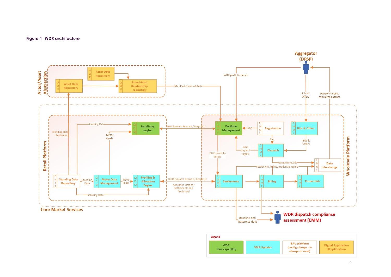#### **Figure 1 WDR architecture**

<span id="page-8-0"></span>

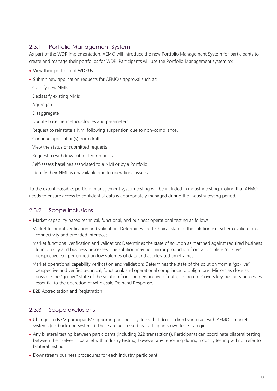## 2.3.1 Portfolio Management System

As part of the WDR implementation, AEMO will introduce the new Portfolio Management System for participants to create and manage their portfolios for WDR. Participants will use the Portfolio Management system to:

- View their portfolio of WDRUs
- Submit new application requests for AEMO's approval such as:

Classify new NMIs

Declassify existing NMIs

Aggregate

Disaggregate

Update baseline methodologies and parameters

Request to reinstate a NMI following suspension due to non-compliance. 

Continue application(s) from draft

View the status of submitted requests

Request to withdraw submitted requests

Self-assess baselines associated to a NMI or by a Portfolio 

Identify their NMI as unavailable due to operational issues. 

To the extent possible, portfolio management system testing will be included in industry testing, noting that AEMO needs to ensure access to confidential data is appropriately managed during the industry testing period.

## 2.3.2 Scope inclusions

• Market capability based technical, functional, and business operational testing as follows:

Market technical verification and validation: Determines the technical state of the solution e.g. schema validations, connectivity and provided interfaces.

Market functional verification and validation: Determines the state of solution as matched against required business functionality and business processes. The solution may not mirror production from a complete "go-live" perspective e.g. performed on low volumes of data and accelerated timeframes.

Market operational capability verification and validation: Determines the state of the solution from a "go-live" perspective and verifies technical, functional, and operational compliance to obligations. Mirrors as close as possible the "go-live" state of the solution from the perspective of data, timing etc. Covers key business processes essential to the operation of Wholesale Demand Response.

• B2B Accreditation and Registration

#### 2.3.3 Scope exclusions

- Changes to NEM participants' supporting business systems that do not directly interact with AEMO's market systems (i.e. back-end systems). These are addressed by participants own test strategies.
- Any bilateral testing between participants (including B2B transactions). Participants can coordinate bilateral testing between themselves in parallel with industry testing, however any reporting during industry testing will not refer to bilateral testing.
- Downstream business procedures for each industry participant.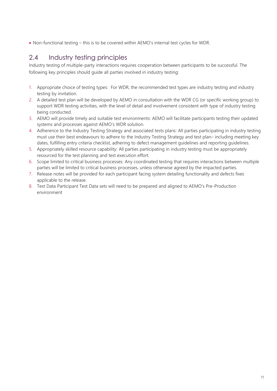• Non-functional testing – this is to be covered within AEMO's internal test cycles for WDR.

## <span id="page-10-0"></span>2.4 Industry testing principles

Industry testing of multiple-party interactions requires cooperation between participants to be successful. The following key principles should guide all parties involved in industry testing:

- 1. Appropriate choice of testing types: For WDR, the recommended test types are industry testing and industry testing by invitation.
- 2. A detailed test plan will be developed by AEMO in consultation with the WDR CG (or specific working group) to support WDR testing activities, with the level of detail and involvement consistent with type of industry testing being conducted.
- 3. AEMO will provide timely and suitable test environments: AEMO will facilitate participants testing their updated systems and processes against AEMO's WDR solution.
- 4. Adherence to the Industry Testing Strategy and associated tests plans: All parties participating in industry testing must use their best endeavours to adhere to the Industry Testing Strategy and test plan– including meeting key dates, fulfilling entry criteria checklist, adhering to defect management guidelines and reporting guidelines.
- 5. Appropriately skilled resource capability: All parties participating in industry testing must be appropriately resourced for the test planning and test execution effort.
- 6. Scope limited to critical business processes: Any coordinated testing that requires interactions between multiple parties will be limited to critical business processes, unless otherwise agreed by the impacted parties.
- 7. Release notes will be provided for each participant facing system detailing functionality and defects fixes applicable to the release.
- 8. Test Data Participant Test Data sets will need to be prepared and aligned to AEMO's Pre-Production environment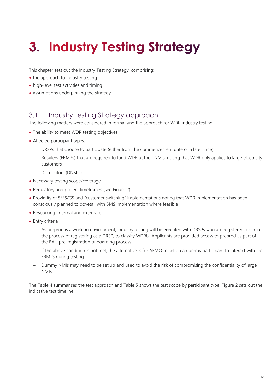# <span id="page-11-0"></span>**3. Industry Testing Strategy**

This chapter sets out the Industry Testing Strategy, comprising:

- the approach to industry testing
- high-level test activities and timing
- assumptions underpinning the strategy

## <span id="page-11-1"></span>3.1 Industry Testing Strategy approach

The following matters were considered in formalising the approach for WDR industry testing:

- The ability to meet WDR testing objectives.
- Affected participant types:
	- DRSPs that choose to participate (either from the commencement date or a later time)
	- Retailers (FRMPs) that are required to fund WDR at their NMIs, noting that WDR only applies to large electricity customers
	- − Distributors (DNSPs)
- Necessary testing scope/coverage
- Regulatory and project timeframes (see Figure 2)
- Proximity of 5MS/GS and "customer switching" implementations noting that WDR implementation has been consciously planned to dovetail with 5MS implementation where feasible
- Resourcing (internal and external).
- Entry criteria
	- As preprod is a working environment, industry testing will be executed with DRSPs who are registered, or in in the process of registering as a DRSP, to classify WDRU. Applicants are provided access to preprod as part of the BAU pre-registration onboarding process.
	- − If the above condition is not met, the alternative is for AEMO to set up a dummy participant to interact with the FRMPs during testing
	- − Dummy NMIs may need to be set up and used to avoid the risk of compromising the confidentiality of large NMIs

The Table 4 summarises the test approach and Table 5 shows the test scope by participant type. Figure 2 sets out the indicative test timeline.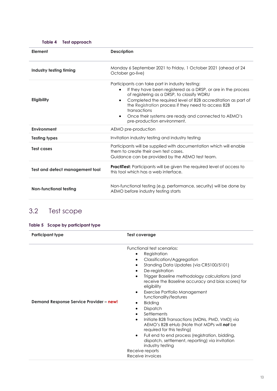<span id="page-12-1"></span>

| Element                         | <b>Description</b>                                                                                                                                                                                                                                                                                                                                                                           |  |
|---------------------------------|----------------------------------------------------------------------------------------------------------------------------------------------------------------------------------------------------------------------------------------------------------------------------------------------------------------------------------------------------------------------------------------------|--|
| Industry testing timing         | Monday 6 September 2021 to Friday, 1 October 2021 (ahead of 24<br>October go-live)                                                                                                                                                                                                                                                                                                           |  |
| <b>Eligibility</b>              | Participants can take part in industry testing:<br>If they have been registered as a DRSP, or are in the process<br>of registering as a DRSP, to classify WDRU<br>Completed the required level of B2B accreditation as part of<br>the Registration process if they need to access B2B<br>transactions<br>Once their systems are ready and connected to AEMO's<br>pre-production environment. |  |
| Environment                     | AEMO pre-production                                                                                                                                                                                                                                                                                                                                                                          |  |
| <b>Testing types</b>            | Invitation industry testing and industry testing                                                                                                                                                                                                                                                                                                                                             |  |
| Test cases                      | Participants will be supplied with documentation which will enable<br>them to create their own test cases.<br>Guidance can be provided by the AEMO test team.                                                                                                                                                                                                                                |  |
| Test and defect management tool | <b>PractiTest:</b> Participants will be given the required level of access to<br>this tool which has a web interface.                                                                                                                                                                                                                                                                        |  |
| Non-functional testing          | Non-functional testing (e.g. performance, security) will be done by<br>AEMO before industry testing starts                                                                                                                                                                                                                                                                                   |  |

## <span id="page-12-0"></span>3.2 Test scope

#### <span id="page-12-2"></span>**Table 5 Scope by participant type**

| <b>Participant type</b>                 | <b>Test coverage</b>                                                                                                                                                                                                                                                                                                                                                                                                                                                                                                                                                                                                                                                                                             |  |
|-----------------------------------------|------------------------------------------------------------------------------------------------------------------------------------------------------------------------------------------------------------------------------------------------------------------------------------------------------------------------------------------------------------------------------------------------------------------------------------------------------------------------------------------------------------------------------------------------------------------------------------------------------------------------------------------------------------------------------------------------------------------|--|
| Demand Response Service Provider - new! | Functional test scenarios:<br>Registration<br>$\bullet$<br><b>Classification/Aggregation</b><br>Standing Data Updates (via CR5100/5101)<br>De-registration<br>Trigger Baseline methodology calculations (and<br>receive the Baseline accuracy and bias scores) for<br>eligibility<br>Exercise Portfolio Management<br>٠<br>functionality/features<br><b>Bidding</b><br>Dispatch<br>Settlements<br>Initiate B2B Transactions (MDNs, PMD, VMD) via<br>$\bullet$<br>AEMO's B2B eHub (Note that MDPs will not be<br>required for this testing)<br>Full end to end process (registration, bidding,<br>٠<br>dispatch, settlement, reporting) via invitation<br>industry testing<br>Receive reports<br>Receive invoices |  |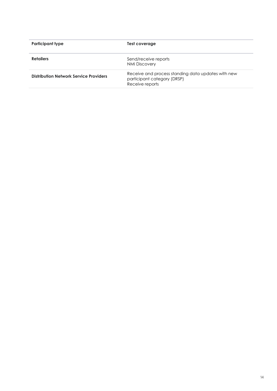| <b>Participant type</b>                | Test coverage                                                                                        |
|----------------------------------------|------------------------------------------------------------------------------------------------------|
| <b>Retailers</b>                       | Send/receive reports<br><b>NMI Discovery</b>                                                         |
| Distribution Network Service Providers | Receive and process standing data updates with new<br>participant category (DRSP)<br>Receive reports |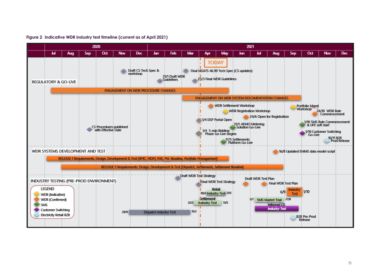<span id="page-14-0"></span>

#### **Figure 2 Indicative WDR industry test timeline (current as of April 2021)**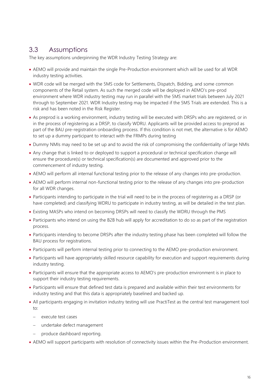## <span id="page-15-0"></span>3.3 Assumptions

The key assumptions underpinning the WDR Industry Testing Strategy are:

- AEMO will provide and maintain the single Pre-Production environment which will be used for all WDR industry testing activities.
- WDR code will be merged with the 5MS code for Settlements, Dispatch, Bidding, and some common components of the Retail system. As such the merged code will be deployed in AEMO's pre-prod environment where WDR industry testing may run in parallel with the 5MS market trials between July 2021 through to September 2021. WDR Industry testing may be impacted if the 5MS Trials are extended. This is a risk and has been noted in the [Risk Register.](https://aemocloud.sharepoint.com/:x:/r/sites/EmergingMarketsServices/_layouts/15/Doc.aspx?sourcedoc=%7B2BB17AB3-EBEE-4350-A3A0-6EB949B42DDF%7D&file=WDR%20Industry%20risks%20and%20issues%20register.xlsx&wdLOR=cB9F132E3-87BE-4151-9B3B-703A69CC78E7&action=default&mobileredirect=true)
- As preprod is a working environment, industry testing will be executed with DRSPs who are registered, or in in the process of registering as a DRSP, to classify WDRU. Applicants will be provided access to preprod as part of the BAU pre-registration onboarding process. If this condition is not met, the alternative is for AEMO to set up a dummy participant to interact with the FRMPs during testing
- Dummy NMIs may need to be set up and to avoid the risk of compromising the confidentiality of large NMIs
- Any change that is linked to or deployed to support a procedural or technical specification change will ensure the procedure(s) or technical specification(s) are documented and approved prior to the commencement of industry testing.
- AEMO will perform all internal functional testing prior to the release of any changes into pre-production.
- AEMO will perform internal non-functional testing prior to the release of any changes into pre-production for all WDR changes.
- Participants intending to participate in the trial will need to be in the process of registering as a DRSP (or have completed) and classifying WDRU to participate in industry testing, as will be detailed in the test plan.
- Existing MASPs who intend on becoming DRSPs will need to classify the WDRU through the PMS
- Participants who intend on using the B2B hub will apply for accreditation to do so as part of the registration process.
- Participants intending to become DRSPs after the industry testing phase has been completed will follow the BAU process for registrations.
- Participants will perform internal testing prior to connecting to the AEMO pre-production environment.
- Participants will have appropriately skilled resource capability for execution and support requirements during industry testing.
- Participants will ensure that the appropriate access to AEMO's pre-production environment is in place to support their industry testing requirements.
- Participants will ensure that defined test data is prepared and available within their test environments for industry testing and that this data is appropriately baselined and backed up.
- All participants engaging in invitation industry testing will use PractiTest as the central test management tool to:
	- − execute test cases
	- undertake defect management
	- − produce dashboard reporting.
- AEMO will support participants with resolution of connectivity issues within the Pre-Production environment.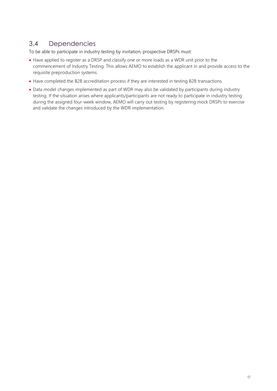## <span id="page-16-0"></span>3.4 Dependencies

To be able to participate in industry testing by invitation, prospective DRSPs must:

- Have applied to register as a DRSP and classify one or more loads as a WDR unit prior to the commencement of Industry Testing. This allows AEMO to establish the applicant in and provide access to the requisite preproduction systems.
- Have completed the B2B accreditation process if they are interested in testing B2B transactions.
- <span id="page-16-1"></span>• Data model changes implemented as part of WDR may also be validated by participants during industry testing. If the situation arises where applicants/participants are not ready to participate in industry testing during the assigned four-week window, AEMO will carry out testing by registering mock DRSPs to exercise and validate the changes introduced by the WDR implementation.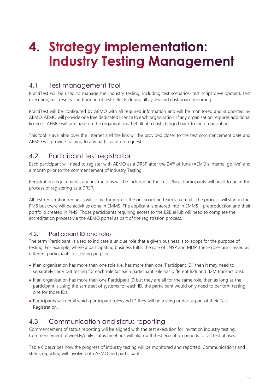# 4. Strategy implementation: **Industry Testing Management**

## <span id="page-17-0"></span>4.1 Test management tool

PractiTest will be used to manage the industry testing, including test scenarios, test script development, test execution, test results, the tracking of test defects during all cycles and dashboard reporting.

PractiTest will be configured by AEMO with all required information and will be monitored and supported by AEMO. AEMO will provide one free dedicated licence to each organisation. If any organisation requires additional licences, AEMO will purchase on the organisations' behalf at a cost charged back to the organisation.

This tool is available over the internet and the link will be provided closer to the test commencement date and AEMO will provide training to any participant on request.

## <span id="page-17-1"></span>4.2 Participant test registration

Each participant will need to register with AEMO as a DRSP after the 24<sup>th</sup> of June (AEMO's internal go live) and a month prior to the commencement of Industry Testing.

Registration requirements and instructions will be included in the Test Plans. Participants will need to be in the process of registering as a DRSP.

All test registration requests will come through to the on-boarding team via email. The process will start in the PMS but there will be activities done in EMMS. The applicant is entered into in EMMS - preproduction and their portfolio created in PMS. Those participants requiring access to the B2B eHub will need to complete the accreditation process via the AEMO portal as part of the registration process.

## 4.2.1 Participant ID and roles

The term 'Participant' is used to indicate a unique role that a given business is to adopt for the purpose of testing. For example, where a participating business fulfils the role of LNSP and MDP, these roles are classed as different participants for testing purposes.

- If an organisation has more than one role (i.e. has more than one 'Participant ID', then it may need to separately carry out testing for each role (as each participant role has different B2B and B2M transactions).
- If an organisation has more than one Participant ID but they are all for the same role, then as long as the participant is using the same set of systems for each ID, the participant would only need to perform testing one for those IDs.
- Participants will detail which participant roles and ID they will be testing under as part of their Test Registration.

## <span id="page-17-2"></span>4.3 Communication and status reporting

Commencement of status reporting will be aligned with the test execution for invitation industry testing. Commencement of weekly/daily status meetings will align with test execution periods for all test phases.

Table 6 describes how the progress of industry testing will be monitored and reported. Communications and status reporting will involve both AEMO and participants.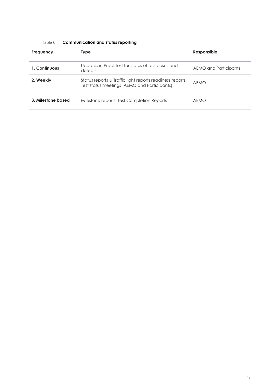<span id="page-18-0"></span>

| Frequency          | <b>Type</b>                                                                                               | Responsible           |
|--------------------|-----------------------------------------------------------------------------------------------------------|-----------------------|
| 1. Continuous      | Updates in PractiTest for status of test cases and<br>defects                                             | AEMO and Participants |
| 2. Weekly          | Status reports & Traffic light reports readiness reports.<br>Test status meetings (AEMO and Participants) | <b>AEMO</b>           |
| 3. Milestone based | Milestone reports, Test Completion Reports                                                                | AEMO                  |

#### Table 6 **Communication and status reporting**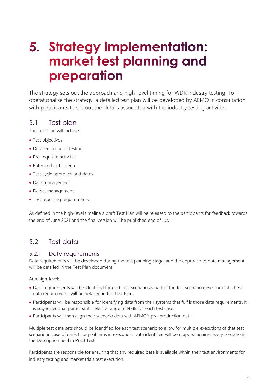## <span id="page-19-0"></span>5. Strategy implementation: market test planning and preparation

The strategy sets out the approach and high-level timing for WDR industry testing. To operationalise the strategy, a detailed test plan will be developed by AEMO in consultation with participants to set out the details associated with the industry testing activities.

## <span id="page-19-1"></span>5.1 Test plan

The Test Plan will include:

- Test objectives
- Detailed scope of testing
- Pre-requisite activities
- Entry and exit criteria
- Test cycle approach and dates
- Data management
- Defect management
- Test reporting requirements.

As defined in the high-level timeline a draft Test Plan will be released to the participants for feedback towards the end of June 2021 and the final version will be published end of July.

## <span id="page-19-2"></span>5.2 Test data

#### 5.2.1 Data requirements

Data requirements will be developed during the test planning stage, and the approach to data management will be detailed in the Test Plan document.

At a high-level:

- Data requirements will be identified for each test scenario as part of the test scenario development. These data requirements will be detailed in the Test Plan.
- Participants will be responsible for identifying data from their systems that fulfils those data requirements. It is suggested that participants select a range of NMIs for each test case.
- Participants will then align their scenario data with AEMO's pre-production data.

Multiple test data sets should be identified for each test scenario to allow for multiple executions of that test scenario in case of defects or problems in execution. Data identified will be mapped against every scenario in the Description field in PractiTest.

Participants are responsible for ensuring that any required data is available within their test environments for industry testing and market trials test execution.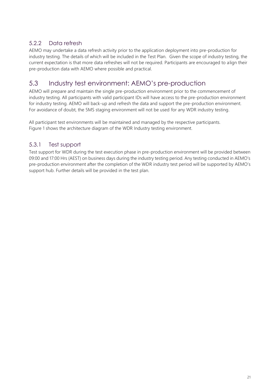## 5.2.2 Data refresh

AEMO may undertake a data refresh activity prior to the application deployment into pre-production for industry testing. The details of which will be included in the Test Plan. Given the scope of industry testing, the current expectation is that more data refreshes will not be required. Participants are encouraged to align their pre-production data with AEMO where possible and practical.

## <span id="page-20-0"></span>5.3 Industry test environment: AEMO's pre-production

AEMO will prepare and maintain the single pre-production environment prior to the commencement of industry testing. All participants with valid participant IDs will have access to the pre-production environment for industry testing. AEMO will back-up and refresh the data and support the pre-production environment. For avoidance of doubt, the 5MS staging environment will not be used for any WDR industry testing.

All participant test environments will be maintained and managed by the respective participants. Figure 1 shows the architecture diagram of the WDR Industry testing environment.

## 5.3.1 Test support

Test support for WDR during the test execution phase in pre-production environment will be provided between 09:00 and 17:00 Hrs (AEST) on business days during the industry testing period. Any testing conducted in AEMO's pre-production environment after the completion of the WDR industry test period will be supported by AEMO's support hub. Further details will be provided in the test plan.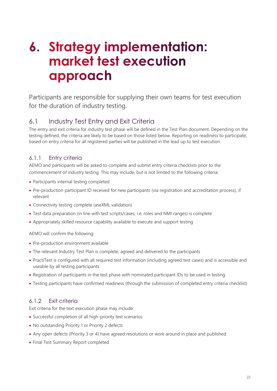## <span id="page-21-0"></span>6. Strategy implementation: market test execution approach

Participants are responsible for supplying their own teams for test execution for the duration of industry testing.

## <span id="page-21-1"></span>6.1 Industry Test Entry and Exit Criteria

The entry and exit criteria for industry test phase will be defined in the Test Plan document. Depending on the testing defined, the criteria are likely to be based on those listed below. Reporting on readiness to participate, based on entry criteria for all registered parties will be published in the lead up to test execution.

## 6.1.1 Entry criteria

AEMO and participants will be asked to complete and submit entry criteria checklists prior to the commencement of industry testing. This may include, but is not limited to the following criteria:

- Participants internal testing completed
- Pre-production participant ID received for new participants (via registration and accreditation process), if relevant
- Connectivity testing complete (aseXML validation)
- Test data preparation (in line with test scripts/cases, i.e. roles and NMI ranges) is complete
- Appropriately skilled resource capability available to execute and support testing

AEMO will confirm the following:

- Pre-production environment available
- The relevant Industry Test Plan is complete, agreed and delivered to the participants
- PractiTest is configured with all required test information (including agreed test cases) and is accessible and useable by all testing participants
- Registration of participants in the test phase with nominated participant IDs to be used in testing
- Testing participants have confirmed readiness (through the submission of completed entry criteria checklist)

## 6.1.2 Exit criteria

Exit criteria for the text execution phase may include:

- Successful completion of all high-priority test scenarios
- No outstanding Priority 1 or Priority 2 defects
- Any open defects (Priority 3 or 4) have agreed resolutions or work around in place and published
- Final Test Summary Report completed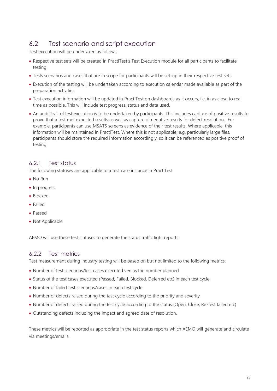## <span id="page-22-0"></span>6.2 Test scenario and script execution

Test execution will be undertaken as follows:

- Respective test sets will be created in PractiTest's Test Execution module for all participants to facilitate testing.
- Tests scenarios and cases that are in scope for participants will be set-up in their respective test sets
- Execution of the testing will be undertaken according to execution calendar made available as part of the preparation activities.
- Test execution information will be updated in PractiTest on dashboards as it occurs, i.e. in as close to real time as possible. This will include test progress, status and data used.
- An audit trail of test execution is to be undertaken by participants. This includes capture of positive results to prove that a test met expected results as well as capture of negative results for defect resolution. For example, participants can use MSATS screens as evidence of their test results. Where applicable, this information will be maintained in PractiTest. Where this is not applicable, e.g. particularly large files, participants should store the required information accordingly, so it can be referenced as positive proof of testing.

#### 6.2.1 Test status

The following statuses are applicable to a test case instance in PractiTest:

- No Run
- In progress
- Blocked
- Failed
- Passed
- Not Applicable

AEMO will use these test statuses to generate the status traffic light reports.

#### 6.2.2 Test metrics

Test measurement during industry testing will be based on but not limited to the following metrics:

- Number of test scenarios/test cases executed versus the number planned
- Status of the test cases executed (Passed, Failed, Blocked, Deferred etc) in each test cycle
- Number of failed test scenarios/cases in each test cycle
- Number of defects raised during the test cycle according to the priority and severity
- Number of defects raised during the test cycle according to the status (Open, Close, Re-test failed etc)
- Outstanding defects including the impact and agreed date of resolution.

These metrics will be reported as appropriate in the test status reports which AEMO will generate and circulate via meetings/emails.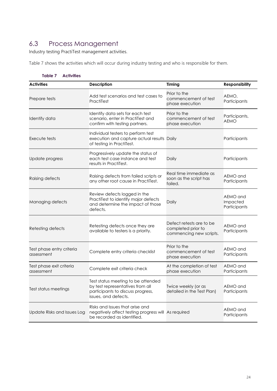## <span id="page-23-0"></span>6.3 Process Management

Industry testing PractiTest management activities.

Table 7 shows the activities which will occur during industry testing and who is responsible for them.

<span id="page-23-1"></span>

| Table 7<br><b>Activities</b>            |                                                                                                                                     |                                                                           |                                      |  |
|-----------------------------------------|-------------------------------------------------------------------------------------------------------------------------------------|---------------------------------------------------------------------------|--------------------------------------|--|
| <b>Activities</b>                       | <b>Description</b>                                                                                                                  | Timing                                                                    | <b>Responsibility</b>                |  |
| Prepare tests                           | Add test scenarios and test cases to<br>PractiTest                                                                                  | Prior to the<br>commencement of test<br>phase execution                   | AEMO,<br>Participants                |  |
| Identify data                           | Identify data sets for each test<br>scenario, enter in PractiTest and<br>confirm with testing partners.                             | Prior to the<br>commencement of test<br>phase execution                   | Participants,<br><b>AEMO</b>         |  |
| Execute tests                           | Individual testers to perform test<br>execution and capture actual results Daily<br>of testing in PractiTest.                       |                                                                           | Participants                         |  |
| Update progress                         | Progressively update the status of<br>each test case instance and test<br>results in PractiTest.                                    | Daily                                                                     | Participants                         |  |
| Raising defects                         | Raising defects from failed scripts or<br>any other root cause in PractiTest.                                                       | Real time immediate as<br>soon as the script has<br>failed.               | AEMO and<br>Participants             |  |
| Managing defects                        | Review defects logged in the<br>PractiTest to identify major defects<br>and determine the impact of those<br>defects.               | Daily                                                                     | AEMO and<br>Impacted<br>Participants |  |
| Retesting defects                       | Retesting defects once they are<br>available to testers is a priority.                                                              | Defect retests are to be<br>completed prior to<br>commencing new scripts. | AEMO and<br>Participants             |  |
| Test phase entry criteria<br>assessment | Complete entry criteria checklist                                                                                                   | Prior to the<br>commencement of test<br>phase execution                   | AEMO and<br>Participants             |  |
| Test phase exit criteria<br>assessment  | Complete exit criteria check                                                                                                        | At the completion of test<br>phase execution                              | AEMO and<br>Participants             |  |
| Test status meetings                    | Test status meeting to be attended<br>by test representatives from all<br>participants to discuss progress,<br>issues, and defects. | Twice weekly (or as<br>detailed in the Test Plan)                         | AEMO and<br>Participants             |  |
| Update Risks and Issues Log             | Risks and Issues that arise and<br>negatively affect testing progress will As required<br>be recorded as identified.                |                                                                           | AEMO and<br>Participants             |  |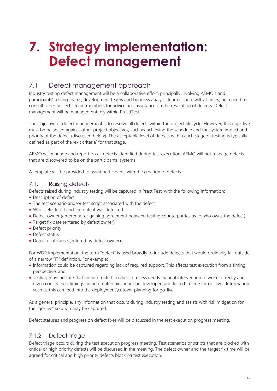# <span id="page-24-0"></span>7. Strategy implementation: **Defect management**

## <span id="page-24-1"></span>7.1 Defect management approach

Industry testing defect management will be a collaborative effort, principally involving AEMO's and participants' testing teams, development teams and business analysis teams. There will, at times, be a need to consult other projects' team members for advice and assistance on the resolution of defects. Defect management will be managed entirely within PractiTest.

The objective of defect management is to resolve all defects within the project lifecycle. However, this objective must be balanced against other project objectives, such as achieving the schedule and the system impact and priority of the defect (discussed below). The acceptable level of defects within each stage of testing is typically defined as part of the 'exit criteria' for that stage.

AEMO will manage and report on all defects identified during test execution. AEMO will not manage defects that are discovered to be on the participants' systems.

A template will be provided to assist participants with the creation of defects.

#### 7.1.1 Raising defects

Defects raised during industry testing will be captured in PractiTest, with the following information:

- Description of defect
- The test scenario and/or test script associated with the defect
- Who detected it and the date it was detected
- Defect owner (entered after gaining agreement between testing counterparties as to who owns the defect)
- Target fix date (entered by defect owner)
- Defect priority
- Defect status
- Defect root cause (entered by defect owner).

For WDR implementation, the term "defect" is used broadly to include defects that would ordinarily fall outside of a narrow "IT" definition. For example:

- Information could be captured regarding lack of required support. This affects test execution from a timing perspective; and
- Testing may indicate that an automated business process needs manual intervention to work correctly and given constrained timings an automated fix cannot be developed and tested in time for go-live. Information such as this can feed into the deployment\cutover planning for go-live.

As a general principle, any information that occurs during industry testing and assists with risk mitigation for the "go-live" solution may be captured.

Defect statuses and progress on defect fixes will be discussed in the test execution progress meeting.

#### 7.1.2 Defect triage

Defect triage occurs during the test execution progress meeting. Test scenarios or scripts that are blocked with critical or high priority defects will be discussed in the meeting. The defect owner and the target fix time will be agreed for critical and high priority defects blocking test execution.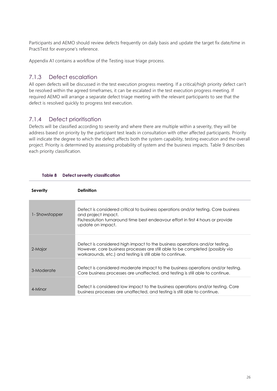Participants and AEMO should review defects frequently on daily basis and update the target fix date/time in PractiTest for everyone's reference.

Appendix A1 contains a workflow of the Testing issue triage process.

### 7.1.3 Defect escalation

All open defects will be discussed in the test execution progress meeting. If a critical/high priority defect can't be resolved within the agreed timeframes, it can be escalated in the test execution progress meeting. If required AEMO will arrange a separate defect triage meeting with the relevant participants to see that the defect is resolved quickly to progress test execution.

### 7.1.4 Defect prioritisation

Defects will be classified according to severity and where there are multiple within a severity, they will be address based on priority by the participant test leads in consultation with other affected participants. Priority will indicate the degree to which the defect affects both the system capability, testing execution and the overall project. Priority is determined by assessing probability of system and the business impacts. Table 9 describes each priority classification.

<span id="page-25-0"></span>

| <b>Severity</b> | <b>Definition</b>                                                                                                                                                                                                         |
|-----------------|---------------------------------------------------------------------------------------------------------------------------------------------------------------------------------------------------------------------------|
| 1-Showstopper   | Defect is considered critical to business operations and/or testing. Core business<br>and project impact.<br>Fix/resolution turnaround time best endeavour effort in first 4 hours or provide<br>update on impact.        |
| 2-Major         | Defect is considered high impact to the business operations and/or testing.<br>However, core business processes are still able to be completed (possibly via<br>workarounds, etc.) and testing is still able to continue. |
| 3-Moderate      | Defect is considered moderate impact to the business operations and/or testing.<br>Core business processes are unaffected, and testing is still able to continue.                                                         |
| 4-Minor         | Defect is considered low impact to the business operations and/or testing. Core<br>business processes are unaffected, and testing is still able to continue.                                                              |

#### **Table 8 Defect severity classification**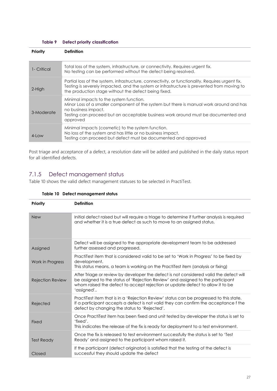#### **Table 9 Defect priority classification**

<span id="page-26-0"></span>

| Priority    | <b>Definition</b>                                                                                                                                                                                                                                          |
|-------------|------------------------------------------------------------------------------------------------------------------------------------------------------------------------------------------------------------------------------------------------------------|
| 1- Critical | Total loss of the system, infrastructure, or connectivity. Requires urgent fix.<br>No testing can be performed without the defect being resolved.                                                                                                          |
| 2-High      | Partial loss of the system, infrastructure, connectivity, or functionality. Requires urgent fix.<br>Testing is severely impacted, and the system or infrastructure is prevented from moving to<br>the production stage without the defect being fixed.     |
| 3-Moderate  | Minimal impacts to the system function.<br>Minor Loss of a smaller component of the system but there is manual work around and has<br>no business impact.<br>Testing can proceed but an acceptable business work around must be documented and<br>approved |
| $4$ -Low    | Minimal impacts (cosmetic) to the system function.<br>No loss of the system and has little or no business impact.<br>Testing can proceed but defect must be documented and approved                                                                        |

Post triage and acceptance of a defect, a resolution date will be added and published in the daily status report for all identified defects.

### 7.1.5 Defect management status

<span id="page-26-1"></span>Table 10 shows the valid defect management statuses to be selected in PractiTest.

| Priority                | <b>Definition</b>                                                                                                                                                                                                                                                        |
|-------------------------|--------------------------------------------------------------------------------------------------------------------------------------------------------------------------------------------------------------------------------------------------------------------------|
| <b>New</b>              | Initial defect raised but will require a triage to determine if further analysis is required<br>and whether it is a true defect as such to move to an assigned status.                                                                                                   |
| Assigned                | Defect will be assigned to the appropriate development team to be addressed<br>further assessed and progressed.                                                                                                                                                          |
| Work in Progress        | PractiTest item that is considered valid to be set to 'Work in Progress' to be fixed by<br>development.<br>This status means, a team is working on the PractiTest item (analysis or fixing)                                                                              |
| <b>Rejection Review</b> | After Triage or review by developer the defect is not considered valid the defect will<br>be assigned to the status of 'Rejection Review' and assigned to the participant<br>whom raised the defect to accept rejection or update defect to allow it to be<br>'assigned' |
| Rejected                | PractiTest item that is in a 'Rejection Review' status can be progressed to this state.<br>If a participant accepts a defect is not valid they can confirm the acceptance f the<br>defect by changing the status to 'Rejected'.                                          |
| Fixed                   | Once PractiTest item has been fixed and unit tested by developer the status is set to<br>'fixed'.<br>This indicates the release of the fix is ready for deployment to a test environment.                                                                                |
| <b>Test Ready</b>       | Once the fix is released to test environment successfully the status is set to 'Test<br>Ready' and assigned to the participant whom raised it.                                                                                                                           |
| Closed                  | If the participant (defect originator) is satisfied that the testing of the defect is<br>successful they should update the defect                                                                                                                                        |

#### **Table 10 Defect management status**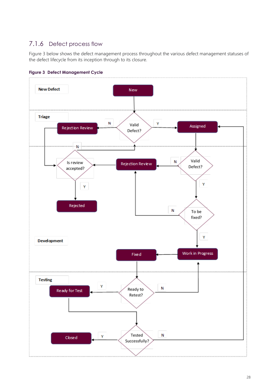## 7.1.6 Defect process flow

Figure 3 below shows the defect management process throughout the various defect management statuses of the defect lifecycle from its inception through to its closure.



<span id="page-27-0"></span>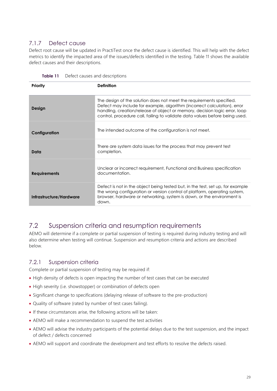## 7.1.7 Defect cause

Defect root cause will be updated in PractiTest once the defect cause is identified. This will help with the defect metrics to identify the impacted area of the issues/defects identified in the testing. Table 11 shows the available defect causes and their descriptions.

| Priority                | <b>Definition</b>                                                                                                                                                                                                                                                                                             |
|-------------------------|---------------------------------------------------------------------------------------------------------------------------------------------------------------------------------------------------------------------------------------------------------------------------------------------------------------|
| Design                  | The design of the solution does not meet the requirements specified.<br>Defect may include for example, algorithm (incorrect calculation), error<br>handling, creation/release of object or memory, decision logic error, loop<br>control, procedure call, failing to validate data values before being used. |
| Configuration           | The intended outcome of the configuration is not meet.                                                                                                                                                                                                                                                        |
| Data                    | There are system data issues for the process that may prevent test<br>completion.                                                                                                                                                                                                                             |
| <b>Requirements</b>     | Unclear or incorrect requirement, Functional and Business specification<br>documentation.                                                                                                                                                                                                                     |
| Infrastructure/Hardware | Defect is not in the object being tested but, in the test, set up, for example<br>the wrong configuration or version control of platform, operating system,<br>browser, hardware or networking, system is down, or the environment is<br>down.                                                                |

<span id="page-28-1"></span>**Table 11** Defect causes and descriptions

## <span id="page-28-0"></span>7.2 Suspension criteria and resumption requirements

AEMO will determine if a complete or partial suspension of testing is required during industry testing and will also determine when testing will continue. Suspension and resumption criteria and actions are described below.

#### 7.2.1 Suspension criteria

Complete or partial suspension of testing may be required if:

- High density of defects is open impacting the number of test cases that can be executed
- High severity (i.e. showstopper) or combination of defects open
- Significant change to specifications (delaying release of software to the pre-production)
- Quality of software (rated by number of test cases failing).
- If these circumstances arise, the following actions will be taken:
- AEMO will make a recommendation to suspend the test activities
- AEMO will advise the industry participants of the potential delays due to the test suspension, and the impact of defect / defects concerned
- AEMO will support and coordinate the development and test efforts to resolve the defects raised.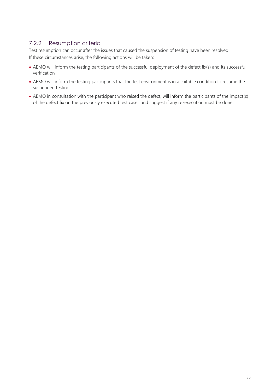### 7.2.2 Resumption criteria

Test resumption can occur after the issues that caused the suspension of testing have been resolved. If these circumstances arise, the following actions will be taken:

- AEMO will inform the testing participants of the successful deployment of the defect fix(s) and its successful verification
- AEMO will inform the testing participants that the test environment is in a suitable condition to resume the suspended testing
- AEMO in consultation with the participant who raised the defect, will inform the participants of the impact(s) of the defect fix on the previously executed test cases and suggest if any re-execution must be done.